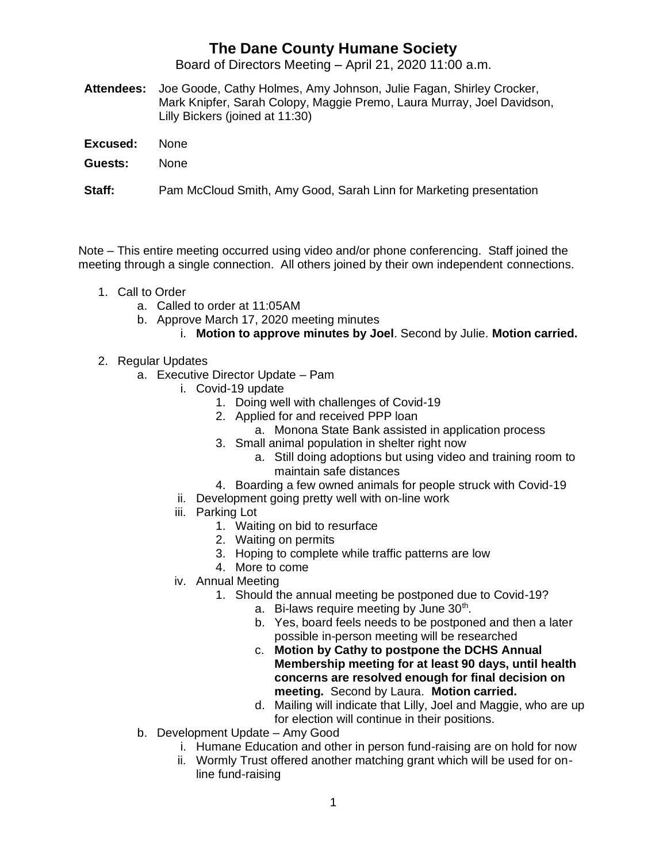## **The Dane County Humane Society**

Board of Directors Meeting – April 21, 2020 11:00 a.m.

- **Attendees:** Joe Goode, Cathy Holmes, Amy Johnson, Julie Fagan, Shirley Crocker, Mark Knipfer, Sarah Colopy, Maggie Premo, Laura Murray, Joel Davidson, Lilly Bickers (joined at 11:30)
- **Excused:** None
- **Guests:** None

**Staff:** Pam McCloud Smith, Amy Good, Sarah Linn for Marketing presentation

Note – This entire meeting occurred using video and/or phone conferencing. Staff joined the meeting through a single connection. All others joined by their own independent connections.

- 1. Call to Order
	- a. Called to order at 11:05AM
	- b. Approve March 17, 2020 meeting minutes
		- i. **Motion to approve minutes by Joel**. Second by Julie. **Motion carried.**
- 2. Regular Updates
	- a. Executive Director Update Pam
		- i. Covid-19 update
			- 1. Doing well with challenges of Covid-19
			- 2. Applied for and received PPP loan
				- a. Monona State Bank assisted in application process
			- 3. Small animal population in shelter right now
				- a. Still doing adoptions but using video and training room to maintain safe distances
			- 4. Boarding a few owned animals for people struck with Covid-19
		- ii. Development going pretty well with on-line work
		- iii. Parking Lot
			- 1. Waiting on bid to resurface
			- 2. Waiting on permits
			- 3. Hoping to complete while traffic patterns are low
			- 4. More to come
		- iv. Annual Meeting
			- 1. Should the annual meeting be postponed due to Covid-19?
				- a. Bi-laws require meeting by June 30<sup>th</sup>.
				- b. Yes, board feels needs to be postponed and then a later possible in-person meeting will be researched
				- c. **Motion by Cathy to postpone the DCHS Annual Membership meeting for at least 90 days, until health concerns are resolved enough for final decision on meeting.** Second by Laura. **Motion carried.**
				- d. Mailing will indicate that Lilly, Joel and Maggie, who are up for election will continue in their positions.
	- b. Development Update Amy Good
		- i. Humane Education and other in person fund-raising are on hold for now
		- ii. Wormly Trust offered another matching grant which will be used for online fund-raising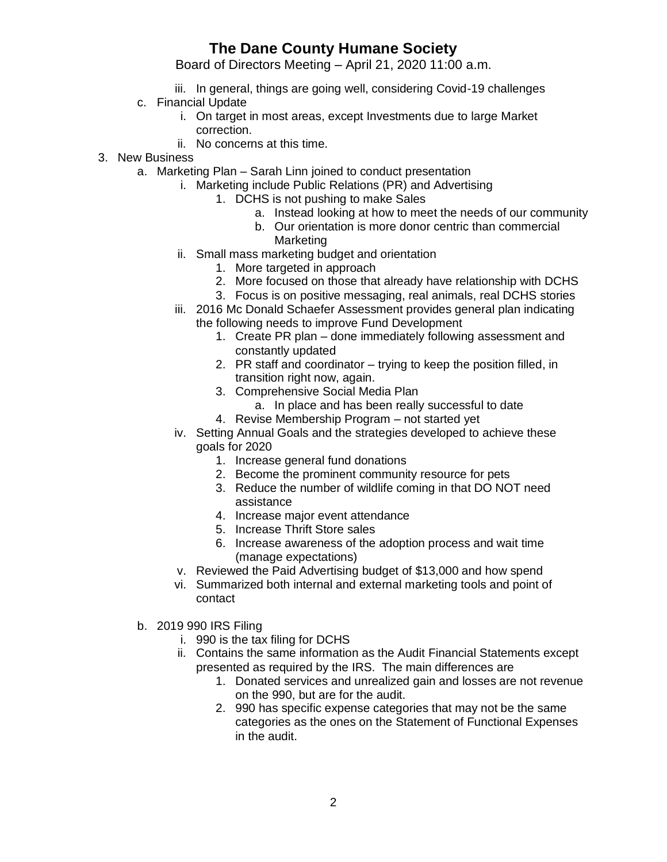## **The Dane County Humane Society**

Board of Directors Meeting – April 21, 2020 11:00 a.m.

- iii. In general, things are going well, considering Covid-19 challenges
- c. Financial Update
	- i. On target in most areas, except Investments due to large Market correction.
	- ii. No concerns at this time.
- 3. New Business
	- a. Marketing Plan Sarah Linn joined to conduct presentation
		- i. Marketing include Public Relations (PR) and Advertising
			- 1. DCHS is not pushing to make Sales
				- a. Instead looking at how to meet the needs of our community
				- b. Our orientation is more donor centric than commercial Marketing
		- ii. Small mass marketing budget and orientation
			- 1. More targeted in approach
			- 2. More focused on those that already have relationship with DCHS
			- 3. Focus is on positive messaging, real animals, real DCHS stories
		- iii. 2016 Mc Donald Schaefer Assessment provides general plan indicating the following needs to improve Fund Development
			- 1. Create PR plan done immediately following assessment and constantly updated
			- 2. PR staff and coordinator trying to keep the position filled, in transition right now, again.
			- 3. Comprehensive Social Media Plan
				- a. In place and has been really successful to date
			- 4. Revise Membership Program not started yet
		- iv. Setting Annual Goals and the strategies developed to achieve these goals for 2020
			- 1. Increase general fund donations
			- 2. Become the prominent community resource for pets
			- 3. Reduce the number of wildlife coming in that DO NOT need assistance
			- 4. Increase major event attendance
			- 5. Increase Thrift Store sales
			- 6. Increase awareness of the adoption process and wait time (manage expectations)
		- v. Reviewed the Paid Advertising budget of \$13,000 and how spend
		- vi. Summarized both internal and external marketing tools and point of contact
	- b. 2019 990 IRS Filing
		- i. 990 is the tax filing for DCHS
		- ii. Contains the same information as the Audit Financial Statements except presented as required by the IRS. The main differences are
			- 1. Donated services and unrealized gain and losses are not revenue on the 990, but are for the audit.
			- 2. 990 has specific expense categories that may not be the same categories as the ones on the Statement of Functional Expenses in the audit.